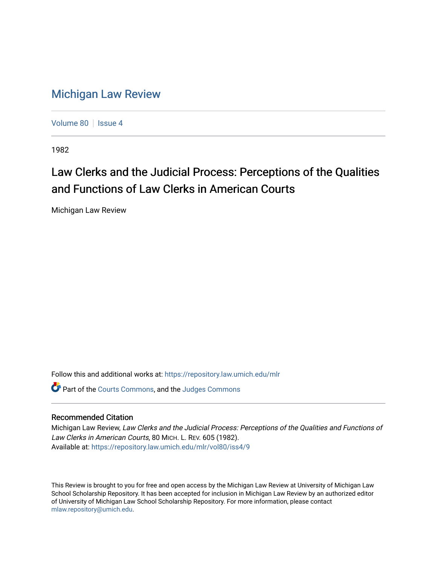## [Michigan Law Review](https://repository.law.umich.edu/mlr)

[Volume 80](https://repository.law.umich.edu/mlr/vol80) | [Issue 4](https://repository.law.umich.edu/mlr/vol80/iss4)

1982

## Law Clerks and the Judicial Process: Perceptions of the Qualities and Functions of Law Clerks in American Courts

Michigan Law Review

Follow this and additional works at: [https://repository.law.umich.edu/mlr](https://repository.law.umich.edu/mlr?utm_source=repository.law.umich.edu%2Fmlr%2Fvol80%2Fiss4%2F9&utm_medium=PDF&utm_campaign=PDFCoverPages) 

**C** Part of the [Courts Commons,](http://network.bepress.com/hgg/discipline/839?utm_source=repository.law.umich.edu%2Fmlr%2Fvol80%2Fiss4%2F9&utm_medium=PDF&utm_campaign=PDFCoverPages) and the Judges Commons

## Recommended Citation

Michigan Law Review, Law Clerks and the Judicial Process: Perceptions of the Qualities and Functions of Law Clerks in American Courts, 80 MICH. L. REV. 605 (1982). Available at: [https://repository.law.umich.edu/mlr/vol80/iss4/9](https://repository.law.umich.edu/mlr/vol80/iss4/9?utm_source=repository.law.umich.edu%2Fmlr%2Fvol80%2Fiss4%2F9&utm_medium=PDF&utm_campaign=PDFCoverPages)

This Review is brought to you for free and open access by the Michigan Law Review at University of Michigan Law School Scholarship Repository. It has been accepted for inclusion in Michigan Law Review by an authorized editor of University of Michigan Law School Scholarship Repository. For more information, please contact [mlaw.repository@umich.edu.](mailto:mlaw.repository@umich.edu)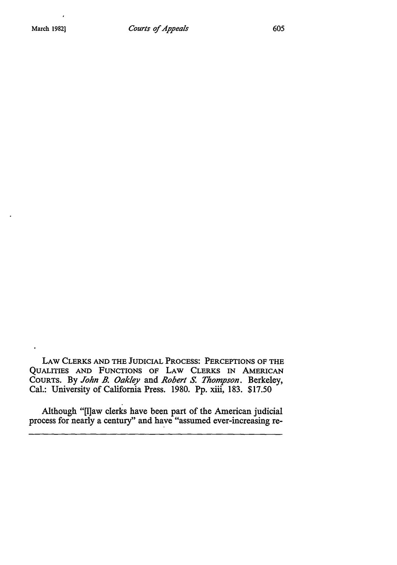LAW CLERKS AND THE JUDICIAL PROCESS: PERCEPTIONS OF THE QUALITIES AND FUNCTIONS OF LAW CLERKS IN AMERICAN COURTS. By *John B. Oakley* and *Robert* S. *Thompson.* Berkeley, Cal.: University of California Press. 1980. Pp. xiii, 183. \$17.50

Although "(l]aw clerks have been part of the American judicial process for nearly a century" and have "assumed ever-increasing re-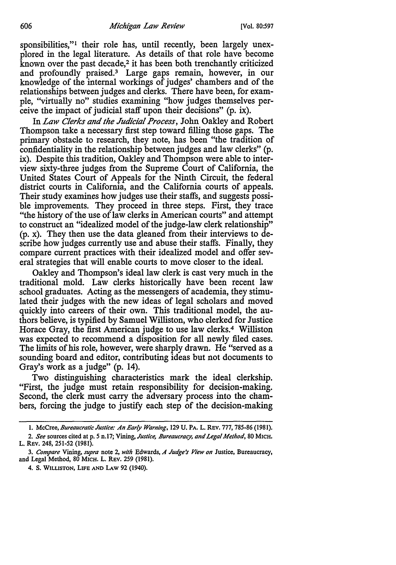sponsibilities,"1 their role has, until recently, been largely unexplored in the legal literature. As details of that role have become known over the past decade,<sup>2</sup> it has been both trenchantly criticized and profoundly praised.3 Large gaps remain, however, in our knowledge of the internal workings of judges' chambers and of the relationships between judges and clerks. There have been, for example, "virtually no" studies examining "how judges themselves perceive the impact of judicial staff upon their decisions" (p. ix).

In *Law Clerks and the Judicial Process,* John Oakley and Robert Thompson take a necessary first step toward filling those gaps. The primary obstacle to research, they note, has been "the tradition of confidentiality in the relationship between judges and law clerks" (p. ix). Despite this tradition, Oakley and Thompson were able to interview sixty-three judges from the Supreme Court of California, the United States Court of Appeals for the Ninth Circuit, the federal district courts in California, and the California courts of appeals. Their study examines how judges use their staffs, and suggests possible improvements. They proceed in three steps. First, they trace "the history of the use of law clerks in American courts" and attempt to construct an "idealized model of the judge-law clerk relationship" (p. x). They then use the data gleaned from their interviews to describe how judges currently use and abuse their staffs. Finally, they compare current practices with their idealized model and offer several strategies that will enable courts to move closer to the ideal.

Oakley and Thompson's ideal law clerk is cast very much in the traditional mold. Law clerks historically have been recent law school graduates. Acting as the messengers of academia, they stimulated their judges with the new ideas of legal scholars and moved quickly into careers of their own. This traditional model, the authors believe, is typified by Samuel Williston, who clerked for Justice Horace Gray, the first American judge to use law clerks.4 Williston was expected to recommend a disposition for all newly filed cases. The limits of his role, however, were sharply drawn. He "served as a sounding board and editor, contributing ideas but not documents to Gray's work as a judge" (p. 14).

Two distinguishing characteristics mark the ideal clerkship. "First, the judge must retain responsibility for decision-making. Second, the clerk must carry the adversary process into the chambers, forcing the judge to justify each step of the decision-making

l. *McCree,BureaucraticJustice: An Early Warning,* 129 U. PA. L. REV. 777, 785-86 (1981),

<sup>2.</sup> *See* sources cited at p. *5* n.17; Vining, *Justice, Bureaucracy, and Legal Mel hod,* 80 MICH. L. REV. 248, 251-52 (1981).

<sup>3.</sup> *Compare* Vining, *supra* note 2, *with* Edwards, *A Judge's View on* Justice, Bureaucracy, and Legal Method, 80 MICH. L. REV. 259 (1981).

<sup>4.</sup> S. WILLISTON, LIFE AND LAW 92 (1940).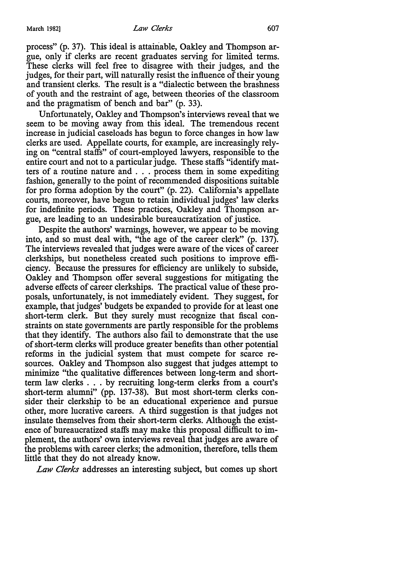process" (p. 37). This ideal is attainable, Oakley and Thompson argue, only if clerks are recent graduates serving for limited terms. These clerks will feel free to disagree with their judges, and the judges, for their part, will naturally resist the influence of their young and transient clerks. The result is a "dialectic between the brashness of youth and the restraint of age, between theories of the classroom and the pragmatism of bench and bar" (p. 33).

Unfortunately, Oakley and Thompson's interviews reveal that we seem to be moving away from this ideal. The tremendous recent increase in judicial caseloads has begun to force changes in how law clerks are used. Appellate courts, for example, are increasingly relying on "central staffs" of court-employed lawyers, responsible to the entire court and not to a particular judge. These staffs "identify matters of a routine nature and . . . process them in some expediting fashion, generally to the point of recommended dispositions suitable for pro forma adoption by the court" (p. 22). California's appellate courts, moreover, have begun to retain individual judges' law clerks for indefinite periods. These practices, Oakley and Thompson argue, are leading to an undesirable bureaucratization of justice.

Despite the authors' warnings, however, we appear to be moving into, and so must deal with, "the age of the career clerk" (p. 137). The interviews revealed that judges were aware of the vices of career clerkships, but nonetheless created such positions to improve efficiency. Because the pressures for efficiency are unlikely to subside, Oakley and Thompson offer several suggestions for mitigating the adverse effects of career clerkships. The practical value of these proposals, unfortunately, is not immediately evident. They suggest, for example, that judges' budgets be expanded to provide for at least one short-term clerk. But they surely must recognize that fiscal constraints on state governments are partly responsible for the problems that they identify. The authors also fail to demonstrate that the use of short-term clerks will produce greater benefits than other potential reforms in the judicial system that must compete for scarce resources. Oakley and Thompson also suggest that judges attempt to minimize "the qualitative differences between long-term and shortterm law clerks . . . by recruiting long-term clerks from a court's short-term alumni" (pp. 137-38). But most short-term clerks consider their clerkship to be an educational experience and pursue other, more lucrative careers. A third suggestion is that judges not insulate themselves from their short-term clerks. Although the existence of bureaucratized staffs may make this proposal difficult to implement, the authors' own interviews reveal that judges are aware of the problems with career clerks; the admonition, therefore, tells them little that they do not already know.

*Law Clerks* addresses an interesting subject, but comes up short